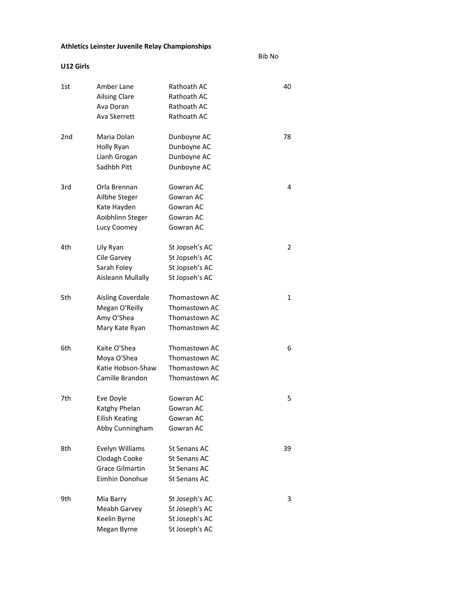## Athletics Leinster Juvenile Relay Championships

U12 Girls

Bib No

| 1st | Amber Lane               | Rathoath AC    | 40 |
|-----|--------------------------|----------------|----|
|     | <b>Ailsing Clare</b>     | Rathoath AC    |    |
|     | Ava Doran                | Rathoath AC    |    |
|     | Ava Skerrett             | Rathoath AC    |    |
| 2nd | Maria Dolan              | Dunboyne AC    | 78 |
|     | Holly Ryan               | Dunboyne AC    |    |
|     | Lianh Grogan             | Dunboyne AC    |    |
|     | Sadhbh Pitt              | Dunboyne AC    |    |
| 3rd | Orla Brennan             | Gowran AC      | 4  |
|     | Ailbhe Steger            | Gowran AC      |    |
|     | Kate Hayden              | Gowran AC      |    |
|     | Aoibhlinn Steger         | Gowran AC      |    |
|     | Lucy Coomey              | Gowran AC      |    |
| 4th | Lily Ryan                | St Jopseh's AC | 2  |
|     | Cile Garvey              | St Jopseh's AC |    |
|     | Sarah Foley              | St Jopseh's AC |    |
|     | Aisleann Mullally        | St Jopseh's AC |    |
| 5th | <b>Aisling Coverdale</b> | Thomastown AC  | 1  |
|     | Megan O'Reilly           | Thomastown AC  |    |
|     | Amy O'Shea               | Thomastown AC  |    |
|     | Mary Kate Ryan           | Thomastown AC  |    |
| 6th | Kaite O'Shea             | Thomastown AC  | 6  |
|     | Moya O'Shea              | Thomastown AC  |    |
|     | Katie Hobson-Shaw        | Thomastown AC  |    |
|     | Camille Brandon          | Thomastown AC  |    |
| 7th | Eve Doyle                | Gowran AC      | 5  |
|     | Katghy Phelan            | Gowran AC      |    |
|     | <b>Eilish Keating</b>    | Gowran AC      |    |
|     | Abby Cunningham          | Gowran AC      |    |
| 8th | Evelyn Williams          | St Senans AC   | 39 |
|     | Clodagh Cooke            | St Senans AC   |    |
|     | <b>Grace Gilmartin</b>   | St Senans AC   |    |
|     | Eimhin Donohue           | St Senans AC   |    |
| 9th | Mia Barry                | St Joseph's AC | 3  |
|     | Meabh Garvey             | St Joseph's AC |    |
|     | Keelin Byrne             | St Joseph's AC |    |
|     | Megan Byrne              | St Joseph's AC |    |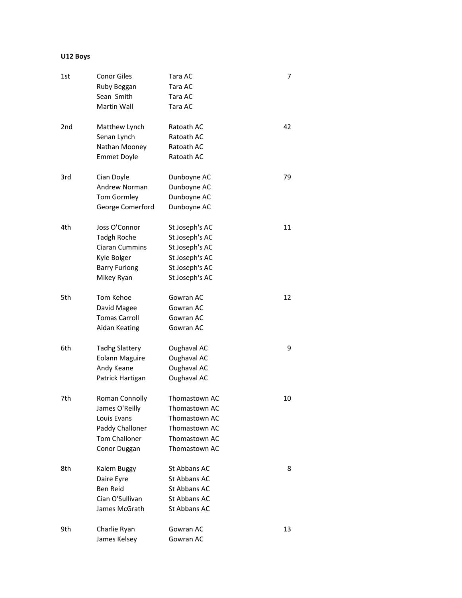## U12 Boys

| 1st             | <b>Conor Giles</b><br>Ruby Beggan<br>Sean Smith<br>Martin Wall                                                    | Tara AC<br>Tara AC<br>Tara AC<br>Tara AC                                                                 | 7  |
|-----------------|-------------------------------------------------------------------------------------------------------------------|----------------------------------------------------------------------------------------------------------|----|
| 2 <sub>nd</sub> | Matthew Lynch<br>Senan Lynch<br>Nathan Mooney<br><b>Emmet Doyle</b>                                               | Ratoath AC<br>Ratoath AC<br>Ratoath AC<br>Ratoath AC                                                     | 42 |
| 3rd             | Cian Doyle<br><b>Andrew Norman</b><br><b>Tom Gormley</b><br>George Comerford                                      | Dunboyne AC<br>Dunboyne AC<br>Dunboyne AC<br>Dunboyne AC                                                 | 79 |
| 4th             | Joss O'Connor<br><b>Tadgh Roche</b><br><b>Ciaran Cummins</b><br>Kyle Bolger<br><b>Barry Furlong</b><br>Mikey Ryan | St Joseph's AC<br>St Joseph's AC<br>St Joseph's AC<br>St Joseph's AC<br>St Joseph's AC<br>St Joseph's AC | 11 |
| 5th             | Tom Kehoe<br>David Magee<br><b>Tomas Carroll</b><br>Aidan Keating                                                 | Gowran AC<br>Gowran AC<br>Gowran AC<br>Gowran AC                                                         | 12 |
| 6th             | <b>Tadhg Slattery</b><br><b>Eolann Maguire</b><br>Andy Keane<br>Patrick Hartigan                                  | Oughaval AC<br>Oughaval AC<br>Oughaval AC<br>Oughaval AC                                                 | 9  |
| 7th             | Roman Connolly<br>James O'Reilly<br>Louis Evans<br>Paddy Challoner<br><b>Tom Challoner</b><br>Conor Duggan        | Thomastown AC<br>Thomastown AC<br>Thomastown AC<br>Thomastown AC<br>Thomastown AC<br>Thomastown AC       | 10 |
| 8th             | Kalem Buggy<br>Daire Eyre<br><b>Ben Reid</b><br>Cian O'Sullivan<br>James McGrath                                  | St Abbans AC<br>St Abbans AC<br>St Abbans AC<br>St Abbans AC<br>St Abbans AC                             | 8  |
| 9th             | Charlie Ryan<br>James Kelsey                                                                                      | Gowran AC<br>Gowran AC                                                                                   | 13 |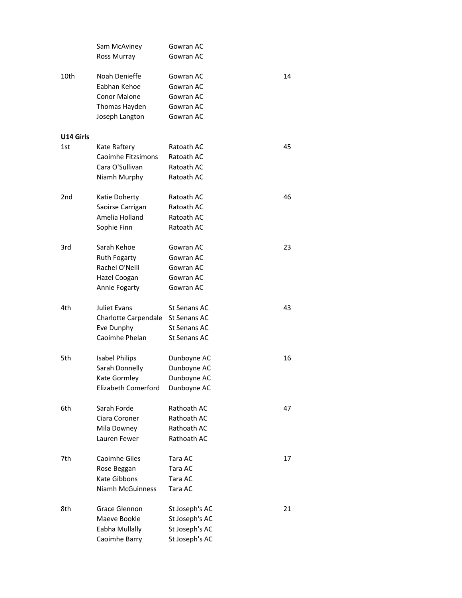|           | Sam McAviney          | Gowran AC           |    |
|-----------|-----------------------|---------------------|----|
|           | Ross Murray           | Gowran AC           |    |
|           |                       |                     |    |
| 10th      | Noah Denieffe         | Gowran AC           | 14 |
|           | Eabhan Kehoe          | Gowran AC           |    |
|           | <b>Conor Malone</b>   | Gowran AC           |    |
|           | Thomas Hayden         | Gowran AC           |    |
|           | Joseph Langton        | Gowran AC           |    |
| U14 Girls |                       |                     |    |
| 1st       | Kate Raftery          | Ratoath AC          | 45 |
|           | Caoimhe Fitzsimons    | Ratoath AC          |    |
|           | Cara O'Sullivan       | Ratoath AC          |    |
|           | Niamh Murphy          | Ratoath AC          |    |
|           |                       |                     |    |
| 2nd       | Katie Doherty         | Ratoath AC          | 46 |
|           | Saoirse Carrigan      | Ratoath AC          |    |
|           | Amelia Holland        | Ratoath AC          |    |
|           | Sophie Finn           | Ratoath AC          |    |
| 3rd       | Sarah Kehoe           | Gowran AC           | 23 |
|           | <b>Ruth Fogarty</b>   | Gowran AC           |    |
|           | Rachel O'Neill        | Gowran AC           |    |
|           | Hazel Coogan          | Gowran AC           |    |
|           | Annie Fogarty         | Gowran AC           |    |
|           |                       |                     |    |
| 4th       | Juliet Evans          | St Senans AC        | 43 |
|           | Charlotte Carpendale  | St Senans AC        |    |
|           | Eve Dunphy            | <b>St Senans AC</b> |    |
|           | Caoimhe Phelan        | St Senans AC        |    |
| 5th       | <b>Isabel Philips</b> | Dunboyne AC         | 16 |
|           | Sarah Donnelly        | Dunboyne AC         |    |
|           | Kate Gormley          | Dunboyne AC         |    |
|           | Elizabeth Comerford   | Dunboyne AC         |    |
| 6th       | Sarah Forde           | Rathoath AC         | 47 |
|           | Ciara Coroner         | Rathoath AC         |    |
|           | Mila Downey           | Rathoath AC         |    |
|           | Lauren Fewer          | Rathoath AC         |    |
| 7th       | Caoimhe Giles         | Tara AC             | 17 |
|           | Rose Beggan           | Tara AC             |    |
|           | Kate Gibbons          | Tara AC             |    |
|           | Niamh McGuinness      | Tara AC             |    |
|           |                       |                     |    |
| 8th       | Grace Glennon         | St Joseph's AC      | 21 |
|           | Maeve Bookle          | St Joseph's AC      |    |
|           | Eabha Mullally        | St Joseph's AC      |    |
|           | Caoimhe Barry         | St Joseph's AC      |    |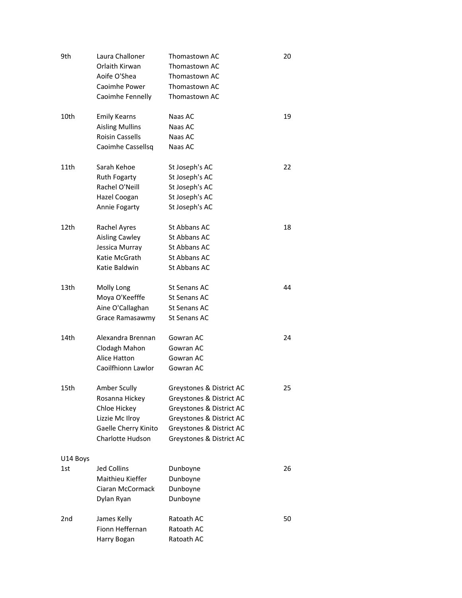| 9th             | Laura Challoner<br>Orlaith Kirwan<br>Aoife O'Shea<br>Caoimhe Power<br>Caoimhe Fennelly                        | Thomastown AC<br>Thomastown AC<br>Thomastown AC<br>Thomastown AC<br>Thomastown AC                                                                                    | 20 |
|-----------------|---------------------------------------------------------------------------------------------------------------|----------------------------------------------------------------------------------------------------------------------------------------------------------------------|----|
| 10th            | <b>Emily Kearns</b><br><b>Aisling Mullins</b><br><b>Roisin Cassells</b><br>Caoimhe Cassellsg                  | Naas AC<br>Naas AC<br>Naas AC<br>Naas AC                                                                                                                             | 19 |
| 11th            | Sarah Kehoe<br><b>Ruth Fogarty</b><br>Rachel O'Neill<br>Hazel Coogan<br>Annie Fogarty                         | St Joseph's AC<br>St Joseph's AC<br>St Joseph's AC<br>St Joseph's AC<br>St Joseph's AC                                                                               | 22 |
| 12th            | <b>Rachel Ayres</b><br><b>Aisling Cawley</b><br>Jessica Murray<br>Katie McGrath<br>Katie Baldwin              | St Abbans AC<br>St Abbans AC<br>St Abbans AC<br>St Abbans AC<br>St Abbans AC                                                                                         | 18 |
| 13th            | Molly Long<br>Moya O'Keefffe<br>Aine O'Callaghan<br>Grace Ramasawmy                                           | St Senans AC<br>St Senans AC<br>St Senans AC<br>St Senans AC                                                                                                         | 44 |
| 14th            | Alexandra Brennan<br>Clodagh Mahon<br><b>Alice Hatton</b><br>Caoilfhionn Lawlor                               | Gowran AC<br>Gowran AC<br>Gowran AC<br>Gowran AC                                                                                                                     | 24 |
| 15th            | Amber Scully<br>Rosanna Hickey<br>Chloe Hickey<br>Lizzie Mc Ilroy<br>Gaelle Cherry Kinito<br>Charlotte Hudson | Greystones & District AC<br>Greystones & District AC<br>Greystones & District AC<br>Greystones & District AC<br>Greystones & District AC<br>Greystones & District AC | 25 |
| U14 Boys<br>1st | <b>Jed Collins</b><br>Maithieu Kieffer<br>Ciaran McCormack<br>Dylan Ryan                                      | Dunboyne<br>Dunboyne<br>Dunboyne<br>Dunboyne                                                                                                                         | 26 |
| 2nd             | James Kelly<br>Fionn Heffernan<br>Harry Bogan                                                                 | Ratoath AC<br>Ratoath AC<br>Ratoath AC                                                                                                                               | 50 |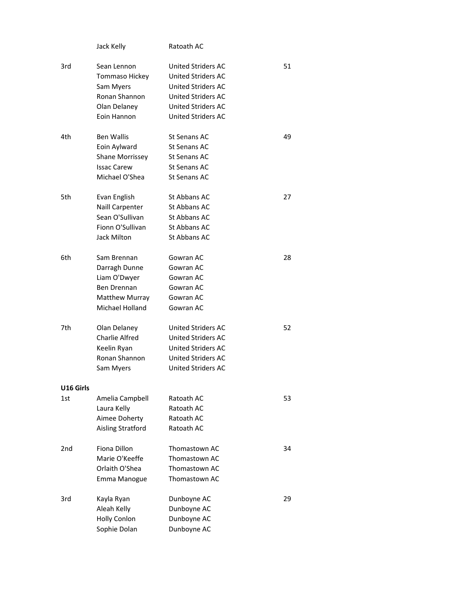| Jack Kelly | Ratoath AC |
|------------|------------|
|            |            |

| 3rd       | Sean Lennon            | United Striders AC        | 51 |
|-----------|------------------------|---------------------------|----|
|           | Tommaso Hickey         | United Striders AC        |    |
|           | Sam Myers              | United Striders AC        |    |
|           | Ronan Shannon          | <b>United Striders AC</b> |    |
|           | Olan Delaney           | United Striders AC        |    |
|           | Eoin Hannon            | <b>United Striders AC</b> |    |
|           |                        |                           |    |
| 4th       | <b>Ben Wallis</b>      | St Senans AC              | 49 |
|           | Eoin Aylward           | St Senans AC              |    |
|           | <b>Shane Morrissey</b> | St Senans AC              |    |
|           | <b>Issac Carew</b>     | <b>St Senans AC</b>       |    |
|           | Michael O'Shea         | <b>St Senans AC</b>       |    |
|           |                        |                           |    |
| 5th       | Evan English           | St Abbans AC              | 27 |
|           | Naill Carpenter        | St Abbans AC              |    |
|           | Sean O'Sullivan        | St Abbans AC              |    |
|           | Fionn O'Sullivan       | St Abbans AC              |    |
|           | Jack Milton            | St Abbans AC              |    |
|           |                        |                           |    |
| 6th       | Sam Brennan            | Gowran AC                 | 28 |
|           | Darragh Dunne          | Gowran AC                 |    |
|           | Liam O'Dwyer           | Gowran AC                 |    |
|           | Ben Drennan            | Gowran AC                 |    |
|           | <b>Matthew Murray</b>  | Gowran AC                 |    |
|           | <b>Michael Holland</b> | Gowran AC                 |    |
|           |                        |                           |    |
| 7th       | Olan Delaney           | <b>United Striders AC</b> | 52 |
|           | <b>Charlie Alfred</b>  | United Striders AC        |    |
|           | Keelin Ryan            | <b>United Striders AC</b> |    |
|           | Ronan Shannon          | <b>United Striders AC</b> |    |
|           | Sam Myers              | <b>United Striders AC</b> |    |
|           |                        |                           |    |
| U16 Girls |                        |                           |    |
| 1st       | Amelia Campbell        | Ratoath AC                | 53 |
|           | Laura Kelly            | Ratoath AC                |    |
|           | Aimee Doherty          | Ratoath AC                |    |
|           | Aisling Stratford      | Ratoath AC                |    |
|           |                        |                           |    |
| 2nd       | Fiona Dillon           | Thomastown AC             | 34 |
|           | Marie O'Keeffe         | Thomastown AC             |    |
|           | Orlaith O'Shea         | Thomastown AC             |    |
|           | Emma Manogue           | Thomastown AC             |    |
|           |                        |                           |    |
| 3rd       | Kayla Ryan             | Dunboyne AC               | 29 |
|           | Aleah Kelly            | Dunboyne AC               |    |
|           | <b>Holly Conlon</b>    | Dunboyne AC               |    |
|           | Sophie Dolan           | Dunboyne AC               |    |
|           |                        |                           |    |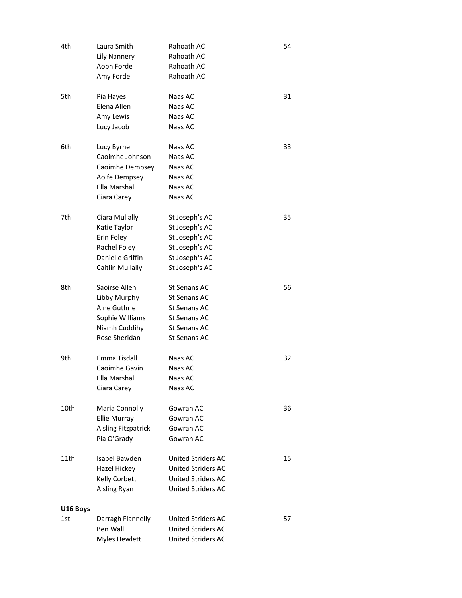| 4th             | Laura Smith<br>Lily Nannery<br>Aobh Forde<br>Amy Forde                                               | Rahoath AC<br>Rahoath AC<br>Rahoath AC<br>Rahoath AC                                                             | 54 |
|-----------------|------------------------------------------------------------------------------------------------------|------------------------------------------------------------------------------------------------------------------|----|
| 5th             | Pia Hayes<br>Elena Allen<br>Amy Lewis<br>Lucy Jacob                                                  | Naas AC<br>Naas AC<br>Naas AC<br>Naas AC                                                                         | 31 |
| 6th             | Lucy Byrne<br>Caoimhe Johnson<br>Caoimhe Dempsey<br>Aoife Dempsey<br>Ella Marshall<br>Ciara Carey    | Naas AC<br>Naas AC<br>Naas AC<br>Naas AC<br>Naas AC<br>Naas AC                                                   | 33 |
| 7th             | Ciara Mullally<br>Katie Taylor<br>Erin Foley<br>Rachel Foley<br>Danielle Griffin<br>Caitlin Mullally | St Joseph's AC<br>St Joseph's AC<br>St Joseph's AC<br>St Joseph's AC<br>St Joseph's AC<br>St Joseph's AC         | 35 |
| 8th             | Saoirse Allen<br>Libby Murphy<br>Aine Guthrie<br>Sophie Williams<br>Niamh Cuddihy<br>Rose Sheridan   | St Senans AC<br>St Senans AC<br>St Senans AC<br>St Senans AC<br><b>St Senans AC</b><br><b>St Senans AC</b>       | 56 |
| 9th             | Emma Tisdall<br>Caoimhe Gavin<br>Ella Marshall<br>Ciara Carey                                        | Naas AC<br>Naas AC<br>Naas AC<br>Naas AC                                                                         | 32 |
| 10th            | Maria Connolly<br><b>Ellie Murray</b><br><b>Aisling Fitzpatrick</b><br>Pia O'Grady                   | Gowran AC<br>Gowran AC<br>Gowran AC<br>Gowran AC                                                                 | 36 |
| 11th            | Isabel Bawden<br>Hazel Hickey<br>Kelly Corbett<br>Aisling Ryan                                       | <b>United Striders AC</b><br><b>United Striders AC</b><br><b>United Striders AC</b><br><b>United Striders AC</b> | 15 |
| U16 Boys<br>1st | Darragh Flannelly<br>Ben Wall<br>Myles Hewlett                                                       | <b>United Striders AC</b><br><b>United Striders AC</b><br>United Striders AC                                     | 57 |